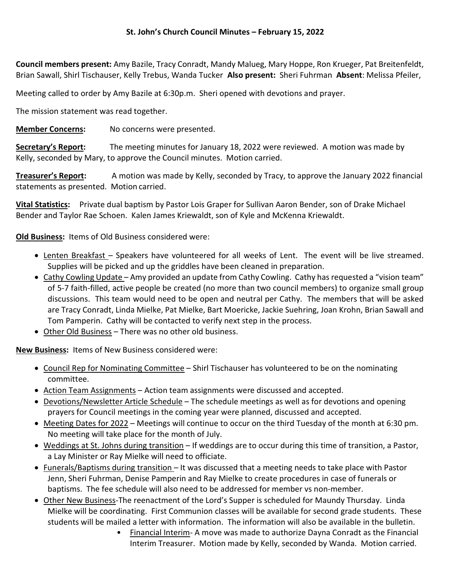Council members present: Amy Bazile, Tracy Conradt, Mandy Malueg, Mary Hoppe, Ron Krueger, Pat Breitenfeldt, Brian Sawall, Shirl Tischauser, Kelly Trebus, Wanda Tucker Also present: Sheri Fuhrman Absent: Melissa Pfeiler,

Meeting called to order by Amy Bazile at 6:30p.m. Sheri opened with devotions and prayer.

The mission statement was read together.

Member Concerns: No concerns were presented.

Secretary's Report: The meeting minutes for January 18, 2022 were reviewed. A motion was made by Kelly, seconded by Mary, to approve the Council minutes. Motion carried.

Treasurer's Report: A motion was made by Kelly, seconded by Tracy, to approve the January 2022 financial statements as presented. Motion carried.

**Vital Statistics:** Private dual baptism by Pastor Lois Graper for Sullivan Aaron Bender, son of Drake Michael Bender and Taylor Rae Schoen. Kalen James Kriewaldt, son of Kyle and McKenna Kriewaldt.

Old Business: Items of Old Business considered were:

- Lenten Breakfast Speakers have volunteered for all weeks of Lent. The event will be live streamed. Supplies will be picked and up the griddles have been cleaned in preparation.
- Cathy Cowling Update Amy provided an update from Cathy Cowling. Cathy has requested a "vision team" of 5-7 faith-filled, active people be created (no more than two council members) to organize small group discussions. This team would need to be open and neutral per Cathy. The members that will be asked are Tracy Conradt, Linda Mielke, Pat Mielke, Bart Moericke, Jackie Suehring, Joan Krohn, Brian Sawall and Tom Pamperin. Cathy will be contacted to verify next step in the process.
- Other Old Business There was no other old business.

New Business: Items of New Business considered were:

- Council Rep for Nominating Committee Shirl Tischauser has volunteered to be on the nominating committee.
- Action Team Assignments Action team assignments were discussed and accepted.
- Devotions/Newsletter Article Schedule The schedule meetings as well as for devotions and opening prayers for Council meetings in the coming year were planned, discussed and accepted.
- Meeting Dates for 2022 Meetings will continue to occur on the third Tuesday of the month at 6:30 pm. No meeting will take place for the month of July.
- Weddings at St. Johns during transition If weddings are to occur during this time of transition, a Pastor, a Lay Minister or Ray Mielke will need to officiate.
- Funerals/Baptisms during transition It was discussed that a meeting needs to take place with Pastor Jenn, Sheri Fuhrman, Denise Pamperin and Ray Mielke to create procedures in case of funerals or baptisms. The fee schedule will also need to be addressed for member vs non-member.
- Other New Business-The reenactment of the Lord's Supper is scheduled for Maundy Thursday. Linda Mielke will be coordinating. First Communion classes will be available for second grade students. These students will be mailed a letter with information. The information will also be available in the bulletin.
	- Financial Interim- A move was made to authorize Dayna Conradt as the Financial Interim Treasurer. Motion made by Kelly, seconded by Wanda. Motion carried.